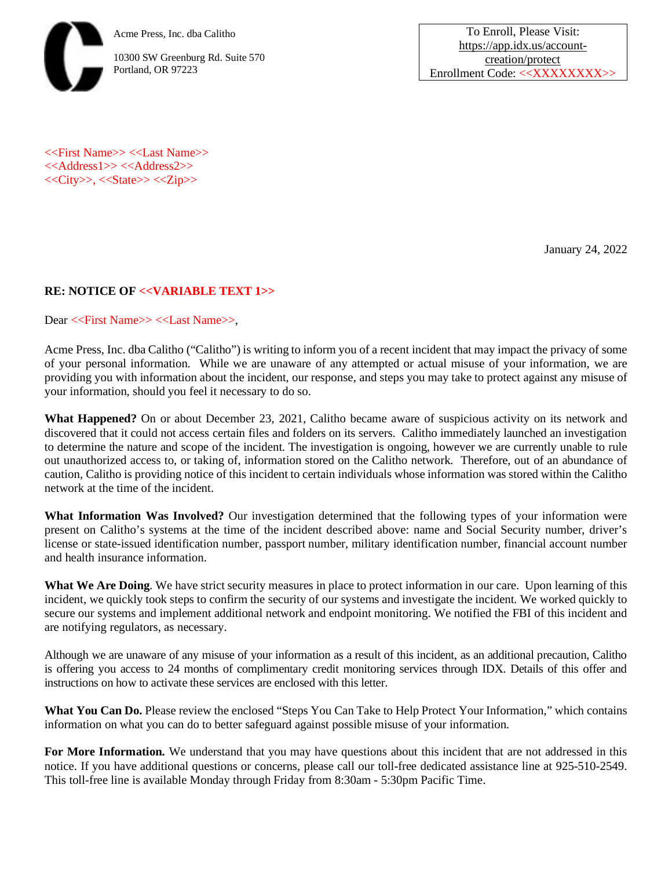Acme Press, Inc. dba Calitho

10300 SW Greenburg Rd. Suite 570 Portland, OR 97223

To Enroll, Please Visit: [https://app.idx.us/account](https://app.idx.us/account-)creation/protect Enrollment Code: <<XXXXXXXX

<<First Name>> <<Last Name>> <<Address1>> <<Address2>> <<City>>, <<State>> <<Zip>>

January 24, 2022

# **RE: NOTICE OF <<VARIABLE TEXT 1>>**

Dear <<First Name>> <<Last Name>>,

Acme Press, Inc. dba Calitho ("Calitho") is writing to inform you of a recent incident that may impact the privacy of some of your personal information. While we are unaware of any attempted or actual misuse of your information, we are providing you with information about the incident, our response, and steps you may take to protect against any misuse of your information, should you feel it necessary to do so.

**What Happened?** On or about December 23, 2021, Calitho became aware of suspicious activity on its network and discovered that it could not access certain files and folders on its servers. Calitho immediately launched an investigation to determine the nature and scope of the incident. The investigation is ongoing, however we are currently unable to rule out unauthorized access to, or taking of, information stored on the Calitho network. Therefore, out of an abundance of caution, Calitho is providing notice of this incident to certain individuals whose information was stored within the Calitho network at the time of the incident.

**What Information Was Involved?** Our investigation determined that the following types of your information were present on Calitho's systems at the time of the incident described above: name and Social Security number, driver's license or state-issued identification number, passport number, military identification number, financial account number and health insurance information.

**What We Are Doing**. We have strict security measures in place to protect information in our care. Upon learning of this incident, we quickly took steps to confirm the security of our systems and investigate the incident. We worked quickly to secure our systems and implement additional network and endpoint monitoring. We notified the FBI of this incident and are notifying regulators, as necessary.

Although we are unaware of any misuse of your information as a result of this incident, as an additional precaution, Calitho is offering you access to 24 months of complimentary credit monitoring services through IDX. Details of this offer and instructions on how to activate these services are enclosed with this letter.

**What You Can Do.** Please review the enclosed "Steps You Can Take to Help Protect Your Information," which contains information on what you can do to better safeguard against possible misuse of your information.

**For More Information.** We understand that you may have questions about this incident that are not addressed in this notice. If you have additional questions or concerns, please call our toll-free dedicated assistance line at 925-510-2549. This toll-free line is available Monday through Friday from 8:30am - 5:30pm Pacific Time.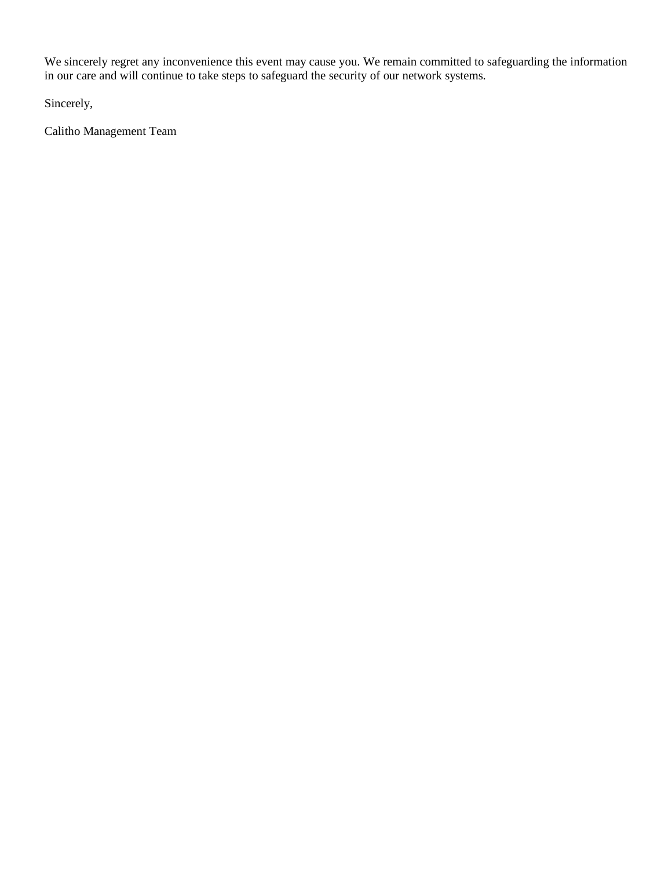We sincerely regret any inconvenience this event may cause you. We remain committed to safeguarding the information in our care and will continue to take steps to safeguard the security of our network systems.

Sincerely,

Calitho Management Team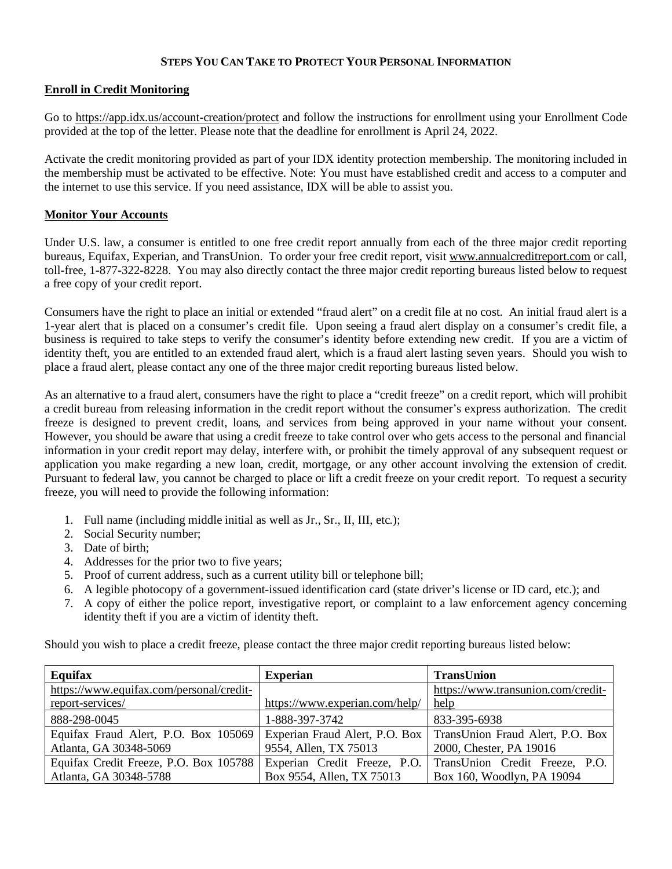## **STEPS YOU CAN TAKE TO PROTECT YOUR PERSONAL INFORMATION**

## **Enroll in Credit Monitoring**

Go to <https://app.idx.us/account-creation/protect> and follow the instructions for enrollment using your Enrollment Code provided at the top of the letter. Please note that the deadline for enrollment is April 24, 2022.

Activate the credit monitoring provided as part of your IDX identity protection membership. The monitoring included in the membership must be activated to be effective. Note: You must have established credit and access to a computer and the internet to use this service. If you need assistance, IDX will be able to assist you.

## **Monitor Your Accounts**

Under U.S. law, a consumer is entitled to one free credit report annually from each of the three major credit reporting bureaus, Equifax, Experian, and TransUnion. To order your free credit report, visit [www.annualcreditreport.com](http://www.annualcreditreport.com) or call, toll-free, 1-877-322-8228. You may also directly contact the three major credit reporting bureaus listed below to request a free copy of your credit report.

Consumers have the right to place an initial or extended "fraud alert" on a credit file at no cost. An initial fraud alert is a 1-year alert that is placed on a consumer's credit file. Upon seeing a fraud alert display on a consumer's credit file, a business is required to take steps to verify the consumer's identity before extending new credit. If you are a victim of identity theft, you are entitled to an extended fraud alert, which is a fraud alert lasting seven years. Should you wish to place a fraud alert, please contact any one of the three major credit reporting bureaus listed below.

As an alternative to a fraud alert, consumers have the right to place a "credit freeze" on a credit report, which will prohibit a credit bureau from releasing information in the credit report without the consumer's express authorization. The credit freeze is designed to prevent credit, loans, and services from being approved in your name without your consent. However, you should be aware that using a credit freeze to take control over who gets access to the personal and financial information in your credit report may delay, interfere with, or prohibit the timely approval of any subsequent request or application you make regarding a new loan, credit, mortgage, or any other account involving the extension of credit. Pursuant to federal law, you cannot be charged to place or lift a credit freeze on your credit report. To request a security freeze, you will need to provide the following information:

- 1. Full name (including middle initial as well as Jr., Sr., II, III, etc.);
- 2. Social Security number;
- 3. Date of birth;
- 4. Addresses for the prior two to five years;
- 5. Proof of current address, such as a current utility bill or telephone bill;
- 6. A legible photocopy of a government-issued identification card (state driver's license or ID card, etc.); and
- 7. A copy of either the police report, investigative report, or complaint to a law enforcement agency concerning identity theft if you are a victim of identity theft.

Should you wish to place a credit freeze, please contact the three major credit reporting bureaus listed below:

| <b>Equifax</b>                           | <b>Experian</b>                | <b>TransUnion</b>                                                 |
|------------------------------------------|--------------------------------|-------------------------------------------------------------------|
| https://www.equifax.com/personal/credit- |                                | https://www.transunion.com/credit-                                |
| report-services/                         | https://www.experian.com/help/ | help                                                              |
| 888-298-0045                             | 1-888-397-3742                 | 833-395-6938                                                      |
| Equifax Fraud Alert, P.O. Box 105069     |                                | Experian Fraud Alert, P.O. Box   TransUnion Fraud Alert, P.O. Box |
| Atlanta, GA 30348-5069                   | 9554, Allen, TX 75013          | 2000, Chester, PA 19016                                           |
| Equifax Credit Freeze, P.O. Box 105788   | Experian Credit Freeze, P.O.   | TransUnion Credit Freeze, P.O.                                    |
| Atlanta, GA 30348-5788                   | Box 9554, Allen, TX 75013      | Box 160, Woodlyn, PA 19094                                        |